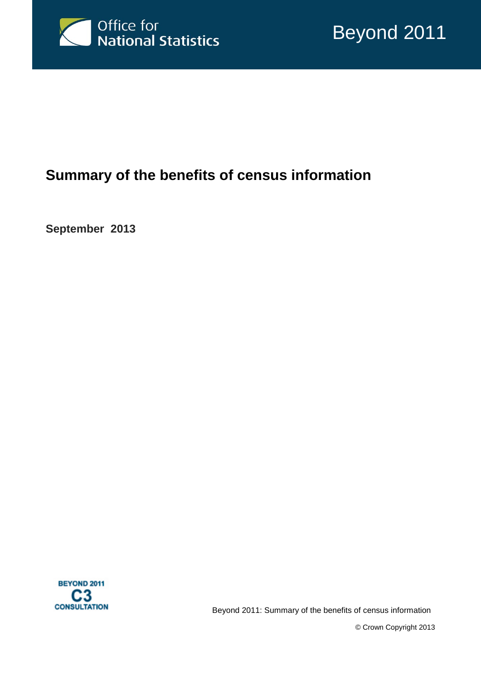

# **Summary of the benefits of census information**

**September 2013**



Beyond 2011: Summary of the benefits of census information

© Crown Copyright 2013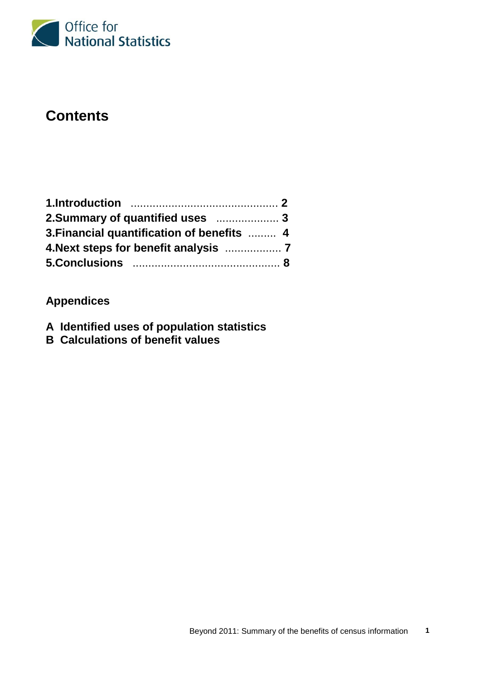

# **Contents**

| 3. Financial quantification of benefits  4 |  |
|--------------------------------------------|--|
| 4. Next steps for benefit analysis  7      |  |
|                                            |  |

# **Appendices**

- **A Identified uses of population statistics**
- **B Calculations of benefit values**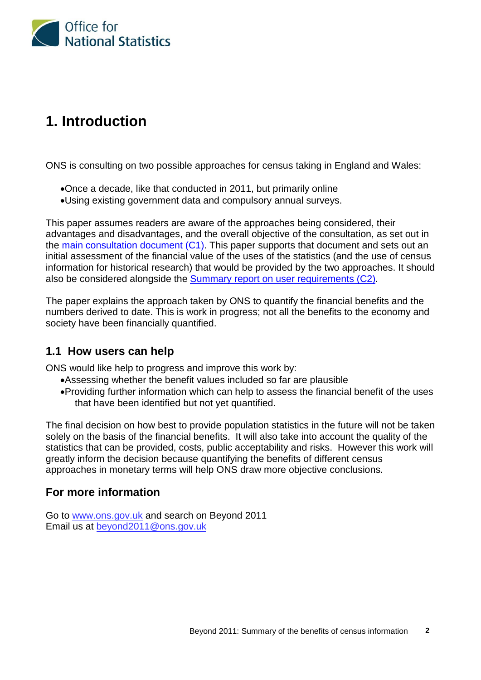

# **1. Introduction**

ONS is consulting on two possible approaches for census taking in England and Wales:

- •Once a decade, like that conducted in 2011, but primarily online
- •Using existing government data and compulsory annual surveys.

This paper assumes readers are aware of the approaches being considered, their advantages and disadvantages, and the overall objective of the consultation, as set out in the [main consultation document \(C1\).](http://ons.gov.uk/ons/about-ons/get-involved/consultations/consultations/beyond-2011-consultation/beyond-2011-consultation-doc-c1.pdf) This paper supports that document and sets out an initial assessment of the financial value of the uses of the statistics (and the use of census information for historical research) that would be provided by the two approaches. It should also be considered alongside the [Summary report on user requirements \(C2\).](http://ons.gov.uk/ons/about-ons/get-involved/consultations/consultations/beyond-2011-consultation/beyond-2011-consultation-doc-c2.pdf)

The paper explains the approach taken by ONS to quantify the financial benefits and the numbers derived to date. This is work in progress; not all the benefits to the economy and society have been financially quantified.

### **1.1 How users can help**

ONS would like help to progress and improve this work by:

- •Assessing whether the benefit values included so far are plausible
- •Providing further information which can help to assess the financial benefit of the uses that have been identified but not yet quantified.

The final decision on how best to provide population statistics in the future will not be taken solely on the basis of the financial benefits. It will also take into account the quality of the statistics that can be provided, costs, public acceptability and risks. However this work will greatly inform the decision because quantifying the benefits of different census approaches in monetary terms will help ONS draw more objective conclusions.

### **For more information**

Go to [www.ons.gov.uk](http://www.ons.gov.uk/) and search on Beyond 2011 Email us at [beyond2011@ons.gov.uk](mailto:beyond2011@ons.gov.uk)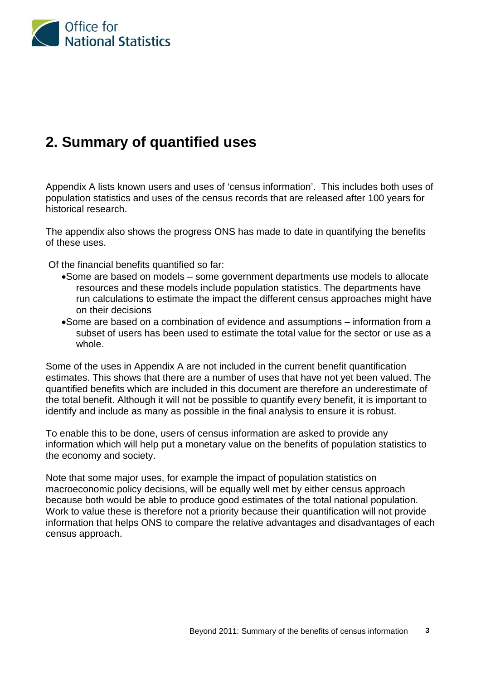

# **2. Summary of quantified uses**

Appendix A lists known users and uses of 'census information'. This includes both uses of population statistics and uses of the census records that are released after 100 years for historical research.

The appendix also shows the progress ONS has made to date in quantifying the benefits of these uses.

Of the financial benefits quantified so far:

- •Some are based on models some government departments use models to allocate resources and these models include population statistics. The departments have run calculations to estimate the impact the different census approaches might have on their decisions
- •Some are based on a combination of evidence and assumptions information from a subset of users has been used to estimate the total value for the sector or use as a whole.

Some of the uses in Appendix A are not included in the current benefit quantification estimates. This shows that there are a number of uses that have not yet been valued. The quantified benefits which are included in this document are therefore an underestimate of the total benefit. Although it will not be possible to quantify every benefit, it is important to identify and include as many as possible in the final analysis to ensure it is robust.

To enable this to be done, users of census information are asked to provide any information which will help put a monetary value on the benefits of population statistics to the economy and society.

Note that some major uses, for example the impact of population statistics on macroeconomic policy decisions, will be equally well met by either census approach because both would be able to produce good estimates of the total national population. Work to value these is therefore not a priority because their quantification will not provide information that helps ONS to compare the relative advantages and disadvantages of each census approach.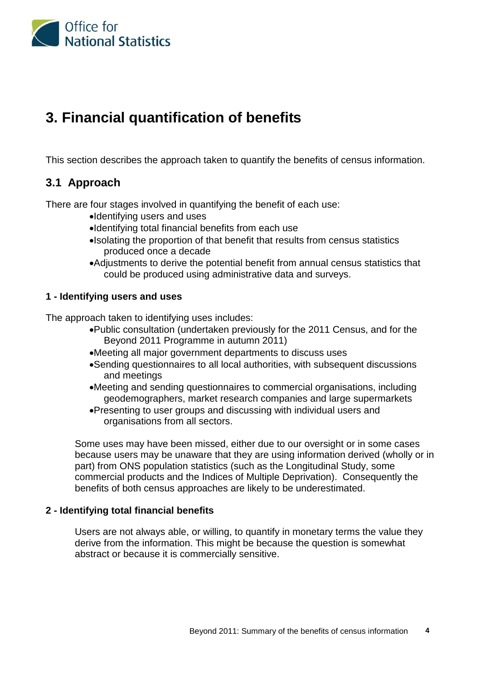

# **3. Financial quantification of benefits**

This section describes the approach taken to quantify the benefits of census information.

### **3.1 Approach**

There are four stages involved in quantifying the benefit of each use:

- •Identifying users and uses
- •Identifying total financial benefits from each use
- •Isolating the proportion of that benefit that results from census statistics produced once a decade
- •Adjustments to derive the potential benefit from annual census statistics that could be produced using administrative data and surveys.

#### **1 - Identifying users and uses**

The approach taken to identifying uses includes:

- •Public consultation (undertaken previously for the 2011 Census, and for the Beyond 2011 Programme in autumn 2011)
- •Meeting all major government departments to discuss uses
- •Sending questionnaires to all local authorities, with subsequent discussions and meetings
- •Meeting and sending questionnaires to commercial organisations, including geodemographers, market research companies and large supermarkets
- •Presenting to user groups and discussing with individual users and organisations from all sectors.

Some uses may have been missed, either due to our oversight or in some cases because users may be unaware that they are using information derived (wholly or in part) from ONS population statistics (such as the Longitudinal Study, some commercial products and the Indices of Multiple Deprivation). Consequently the benefits of both census approaches are likely to be underestimated.

#### **2 - Identifying total financial benefits**

Users are not always able, or willing, to quantify in monetary terms the value they derive from the information. This might be because the question is somewhat abstract or because it is commercially sensitive.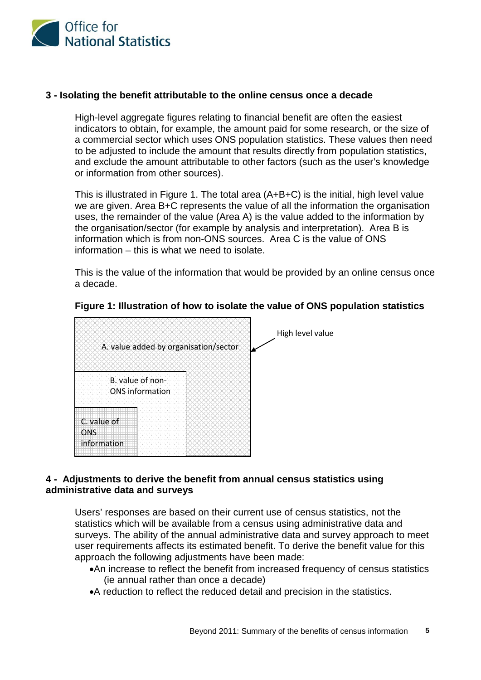

#### **3 - Isolating the benefit attributable to the online census once a decade**

High-level aggregate figures relating to financial benefit are often the easiest indicators to obtain, for example, the amount paid for some research, or the size of a commercial sector which uses ONS population statistics. These values then need to be adjusted to include the amount that results directly from population statistics, and exclude the amount attributable to other factors (such as the user's knowledge or information from other sources).

This is illustrated in Figure 1. The total area (A+B+C) is the initial, high level value we are given. Area B+C represents the value of all the information the organisation uses, the remainder of the value (Area A) is the value added to the information by the organisation/sector (for example by analysis and interpretation). Area B is information which is from non-ONS sources. Area C is the value of ONS information – this is what we need to isolate.

This is the value of the information that would be provided by an online census once a decade.



#### **Figure 1: Illustration of how to isolate the value of ONS population statistics**

#### **4 - Adjustments to derive the benefit from annual census statistics using administrative data and surveys**

Users' responses are based on their current use of census statistics, not the statistics which will be available from a census using administrative data and surveys. The ability of the annual administrative data and survey approach to meet user requirements affects its estimated benefit. To derive the benefit value for this approach the following adjustments have been made:

- •An increase to reflect the benefit from increased frequency of census statistics (ie annual rather than once a decade)
- •A reduction to reflect the reduced detail and precision in the statistics.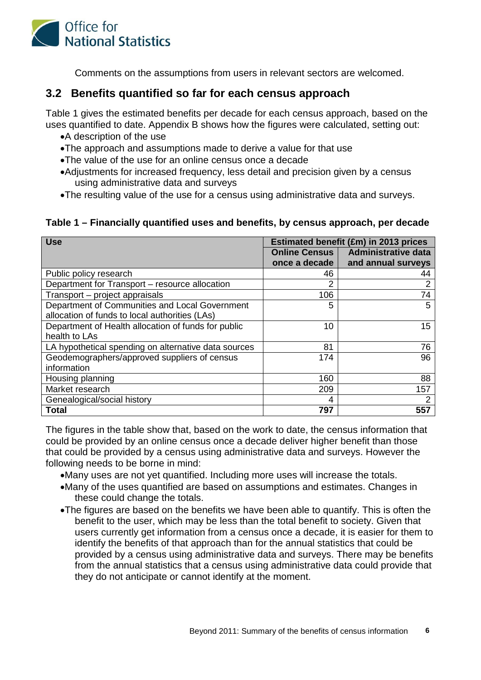

Comments on the assumptions from users in relevant sectors are welcomed.

### **3.2 Benefits quantified so far for each census approach**

Table 1 gives the estimated benefits per decade for each census approach, based on the uses quantified to date. Appendix B shows how the figures were calculated, setting out:

- •A description of the use
- •The approach and assumptions made to derive a value for that use
- •The value of the use for an online census once a decade
- •Adjustments for increased frequency, less detail and precision given by a census using administrative data and surveys
- •The resulting value of the use for a census using administrative data and surveys.

#### **Table 1 – Financially quantified uses and benefits, by census approach, per decade**

| <b>Use</b>                                           | Estimated benefit (£m) in 2013 prices |                            |  |  |  |
|------------------------------------------------------|---------------------------------------|----------------------------|--|--|--|
|                                                      | Online Census                         | <b>Administrative data</b> |  |  |  |
|                                                      | once a decade                         | and annual surveys         |  |  |  |
| Public policy research                               | 46                                    | 44                         |  |  |  |
| Department for Transport - resource allocation       | 2                                     | 2                          |  |  |  |
| Transport – project appraisals                       | 106                                   | 74                         |  |  |  |
| Department of Communities and Local Government       | 5                                     | 5                          |  |  |  |
| allocation of funds to local authorities (LAs)       |                                       |                            |  |  |  |
| Department of Health allocation of funds for public  | 10                                    | 15 <sup>15</sup>           |  |  |  |
| health to LAs                                        |                                       |                            |  |  |  |
| LA hypothetical spending on alternative data sources | 81                                    | 76                         |  |  |  |
| Geodemographers/approved suppliers of census         | 174                                   | 96                         |  |  |  |
| information                                          |                                       |                            |  |  |  |
| Housing planning                                     | 160                                   | 88                         |  |  |  |
| Market research                                      | 209                                   | 157                        |  |  |  |
| Genealogical/social history                          | 4                                     | 2                          |  |  |  |
| <b>Total</b>                                         | 797                                   | 557                        |  |  |  |

The figures in the table show that, based on the work to date, the census information that could be provided by an online census once a decade deliver higher benefit than those that could be provided by a census using administrative data and surveys. However the following needs to be borne in mind:

- •Many uses are not yet quantified. Including more uses will increase the totals.
- •Many of the uses quantified are based on assumptions and estimates. Changes in these could change the totals.
- •The figures are based on the benefits we have been able to quantify. This is often the benefit to the user, which may be less than the total benefit to society. Given that users currently get information from a census once a decade, it is easier for them to identify the benefits of that approach than for the annual statistics that could be provided by a census using administrative data and surveys. There may be benefits from the annual statistics that a census using administrative data could provide that they do not anticipate or cannot identify at the moment.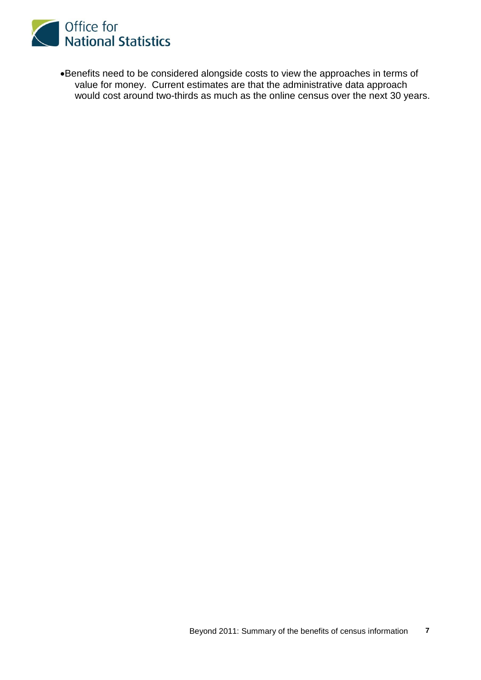

•Benefits need to be considered alongside costs to view the approaches in terms of value for money. Current estimates are that the administrative data approach would cost around two-thirds as much as the online census over the next 30 years.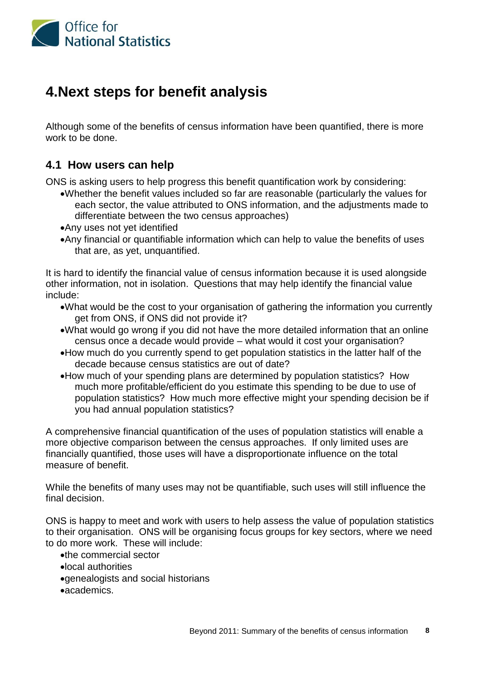

# **4.Next steps for benefit analysis**

Although some of the benefits of census information have been quantified, there is more work to be done.

### **4.1 How users can help**

ONS is asking users to help progress this benefit quantification work by considering:

- •Whether the benefit values included so far are reasonable (particularly the values for each sector, the value attributed to ONS information, and the adjustments made to differentiate between the two census approaches)
- •Any uses not yet identified
- •Any financial or quantifiable information which can help to value the benefits of uses that are, as yet, unquantified.

It is hard to identify the financial value of census information because it is used alongside other information, not in isolation. Questions that may help identify the financial value include:

- •What would be the cost to your organisation of gathering the information you currently get from ONS, if ONS did not provide it?
- •What would go wrong if you did not have the more detailed information that an online census once a decade would provide – what would it cost your organisation?
- •How much do you currently spend to get population statistics in the latter half of the decade because census statistics are out of date?
- •How much of your spending plans are determined by population statistics? How much more profitable/efficient do you estimate this spending to be due to use of population statistics? How much more effective might your spending decision be if you had annual population statistics?

A comprehensive financial quantification of the uses of population statistics will enable a more objective comparison between the census approaches. If only limited uses are financially quantified, those uses will have a disproportionate influence on the total measure of benefit.

While the benefits of many uses may not be quantifiable, such uses will still influence the final decision.

ONS is happy to meet and work with users to help assess the value of population statistics to their organisation. ONS will be organising focus groups for key sectors, where we need to do more work. These will include:

- •the commercial sector
- •local authorities
- •genealogists and social historians
- •academics.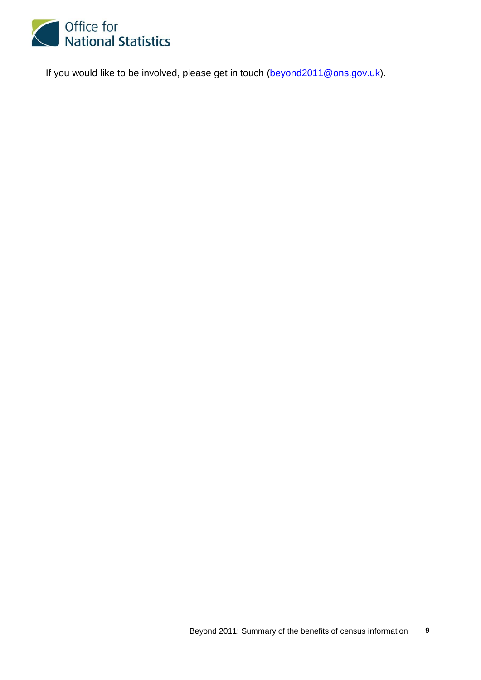

If you would like to be involved, please get in touch [\(beyond2011@ons.gov.uk\)](mailto:beyond2011@ons.gov.uk).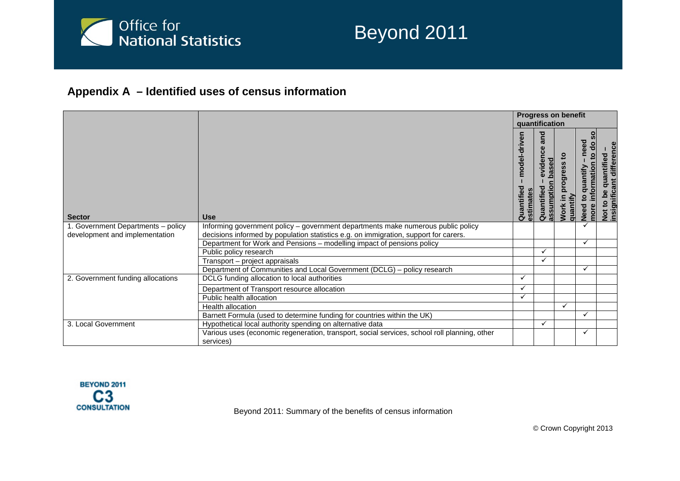

# Beyond 2011

## **Appendix A – Identified uses of census information**

|                                    |                                                                                                           |                            | quantification                      | <b>Progress on benefit</b>        |                                                                              |                                                              |
|------------------------------------|-----------------------------------------------------------------------------------------------------------|----------------------------|-------------------------------------|-----------------------------------|------------------------------------------------------------------------------|--------------------------------------------------------------|
| <b>Sector</b>                      | <b>Use</b>                                                                                                | model-driven<br>Quantified | para<br>evidence<br>ਠ<br>Quantified | 9<br>ත<br>quantify<br><b>Work</b> | need<br>응<br>요<br>uantify<br>۵<br>$\circ$<br><u>ځ</u><br><b>Need</b><br>nore | differenc<br>quantified<br>Not to be qual<br>insignificant c |
| 1. Government Departments - policy | Informing government policy - government departments make numerous public policy                          |                            |                                     |                                   |                                                                              |                                                              |
| development and implementation     | decisions informed by population statistics e.g. on immigration, support for carers.                      |                            |                                     |                                   |                                                                              |                                                              |
|                                    | Department for Work and Pensions - modelling impact of pensions policy                                    |                            |                                     |                                   | ✓                                                                            |                                                              |
|                                    | Public policy research                                                                                    |                            |                                     |                                   |                                                                              |                                                              |
|                                    | Transport - project appraisals                                                                            |                            |                                     |                                   |                                                                              |                                                              |
|                                    | Department of Communities and Local Government (DCLG) - policy research                                   |                            |                                     |                                   | ✓                                                                            |                                                              |
| 2. Government funding allocations  | DCLG funding allocation to local authorities                                                              |                            |                                     |                                   |                                                                              |                                                              |
|                                    | Department of Transport resource allocation                                                               | ✓                          |                                     |                                   |                                                                              |                                                              |
|                                    | Public health allocation                                                                                  |                            |                                     |                                   |                                                                              |                                                              |
|                                    | <b>Health allocation</b>                                                                                  |                            |                                     |                                   |                                                                              |                                                              |
|                                    | Barnett Formula (used to determine funding for countries within the UK)                                   |                            |                                     |                                   | ✓                                                                            |                                                              |
| 3. Local Government                | Hypothetical local authority spending on alternative data                                                 |                            | ✓                                   |                                   |                                                                              |                                                              |
|                                    | Various uses (economic regeneration, transport, social services, school roll planning, other<br>services) |                            |                                     |                                   | ✓                                                                            |                                                              |



Beyond 2011: Summary of the benefits of census information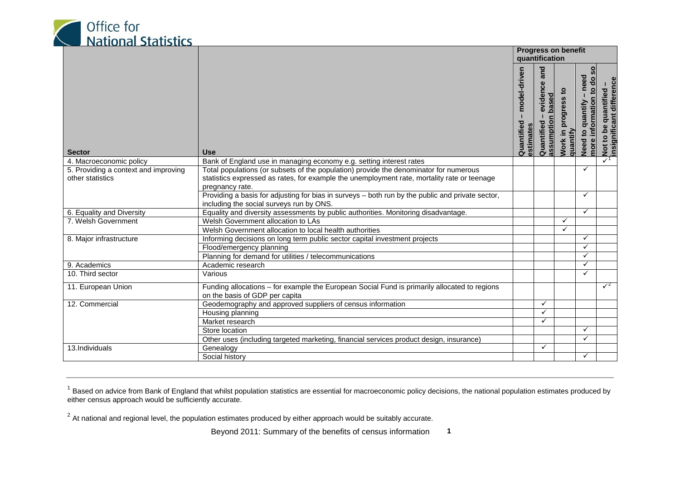<span id="page-11-1"></span><span id="page-11-0"></span>

|                                                          |                                                                                                                                                                                                         |                                        | <b>Progress on benefit</b><br>quantification         |                                 |                                                                               |                                                                  |
|----------------------------------------------------------|---------------------------------------------------------------------------------------------------------------------------------------------------------------------------------------------------------|----------------------------------------|------------------------------------------------------|---------------------------------|-------------------------------------------------------------------------------|------------------------------------------------------------------|
| <b>Sector</b>                                            | <b>Use</b>                                                                                                                                                                                              | model-driven<br>Quantified<br>estimate | and<br>evidence<br>based<br>assumption<br>Quantified | progress<br>Work in<br>quantify | င္တ<br>need<br>g<br>$\overline{6}$<br>information<br>quantify<br>Need<br>more | Not to be quantified -<br>insignificant difference<br>quantified |
| 4. Macroeconomic policy                                  | Bank of England use in managing economy e.g. setting interest rates                                                                                                                                     |                                        |                                                      |                                 |                                                                               | $\checkmark$ <sup>1</sup>                                        |
| 5. Providing a context and improving<br>other statistics | Total populations (or subsets of the population) provide the denominator for numerous<br>statistics expressed as rates, for example the unemployment rate, mortality rate or teenage<br>pregnancy rate. |                                        |                                                      |                                 | ✓                                                                             |                                                                  |
|                                                          | Providing a basis for adjusting for bias in surveys - both run by the public and private sector,<br>including the social surveys run by ONS.                                                            |                                        |                                                      |                                 | ✓                                                                             |                                                                  |
| 6. Equality and Diversity                                | Equality and diversity assessments by public authorities. Monitoring disadvantage.                                                                                                                      |                                        |                                                      |                                 | ✓                                                                             |                                                                  |
| 7. Welsh Government                                      | Welsh Government allocation to LAs                                                                                                                                                                      |                                        |                                                      | ✓                               |                                                                               |                                                                  |
|                                                          | Welsh Government allocation to local health authorities                                                                                                                                                 |                                        |                                                      | ✓                               |                                                                               |                                                                  |
| 8. Major infrastructure                                  | Informing decisions on long term public sector capital investment projects                                                                                                                              |                                        |                                                      |                                 | $\checkmark$                                                                  |                                                                  |
|                                                          | Flood/emergency planning                                                                                                                                                                                |                                        |                                                      |                                 | $\checkmark$                                                                  |                                                                  |
|                                                          | Planning for demand for utilities / telecommunications                                                                                                                                                  |                                        |                                                      |                                 | ✓                                                                             |                                                                  |
| 9. Academics                                             | Academic research                                                                                                                                                                                       |                                        |                                                      |                                 | ✓                                                                             |                                                                  |
| 10. Third sector                                         | Various                                                                                                                                                                                                 |                                        |                                                      |                                 | $\checkmark$                                                                  |                                                                  |
| 11. European Union                                       | Funding allocations - for example the European Social Fund is primarily allocated to regions<br>on the basis of GDP per capita                                                                          |                                        |                                                      |                                 |                                                                               | $\sqrt{2}$                                                       |
| 12. Commercial                                           | Geodemography and approved suppliers of census information                                                                                                                                              |                                        | $\checkmark$                                         |                                 |                                                                               |                                                                  |
|                                                          | Housing planning                                                                                                                                                                                        |                                        | ✓                                                    |                                 |                                                                               |                                                                  |
|                                                          | Market research                                                                                                                                                                                         |                                        | ✓                                                    |                                 |                                                                               |                                                                  |
|                                                          | Store location                                                                                                                                                                                          |                                        |                                                      |                                 | $\checkmark$                                                                  |                                                                  |
|                                                          | Other uses (including targeted marketing, financial services product design, insurance)                                                                                                                 |                                        |                                                      |                                 | $\checkmark$                                                                  |                                                                  |
| 13.Individuals                                           | Genealogy                                                                                                                                                                                               |                                        | $\checkmark$                                         |                                 |                                                                               |                                                                  |
|                                                          | Social history                                                                                                                                                                                          |                                        |                                                      |                                 | $\checkmark$                                                                  |                                                                  |

 $1$  Based on advice from Bank of England that whilst population statistics are essential for macroeconomic policy decisions, the national population estimates produced by either census approach would be sufficiently accurate.

 $^{2}$  At national and regional level, the population estimates produced by either approach would be suitably accurate.

Beyond 2011: Summary of the benefits of census information **1**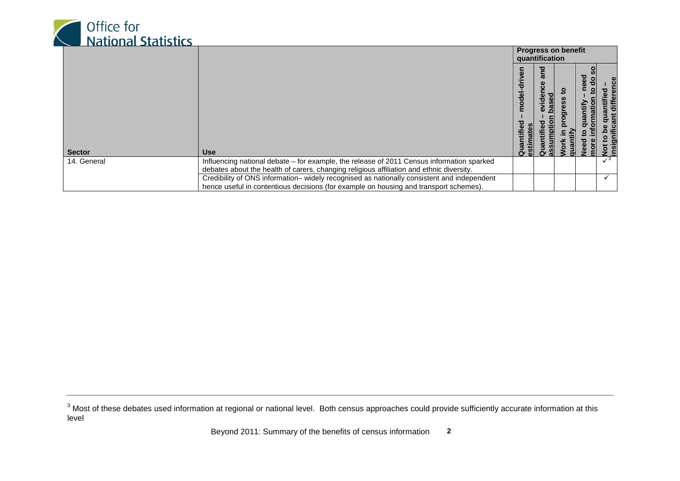<span id="page-12-0"></span>

|               |                                                                                           |   | quantification | <b>Progress on benefit</b> |               |     |
|---------------|-------------------------------------------------------------------------------------------|---|----------------|----------------------------|---------------|-----|
| <b>Sector</b> | <b>Use</b>                                                                                | c | Ό<br>ω         |                            | <b>P</b><br>응 |     |
| 14. General   | Influencing national debate – for example, the release of 2011 Census information sparked |   |                |                            |               | د ر |
|               | debates about the health of carers, changing religious affiliation and ethnic diversity.  |   |                |                            |               |     |
|               | Credibility of ONS information-widely recognised as nationally consistent and independent |   |                |                            |               |     |
|               | hence useful in contentious decisions (for example on housing and transport schemes).     |   |                |                            |               |     |

<sup>&</sup>lt;sup>3</sup> Most of these debates used information at regional or national level. Both census approaches could provide sufficiently accurate information at this level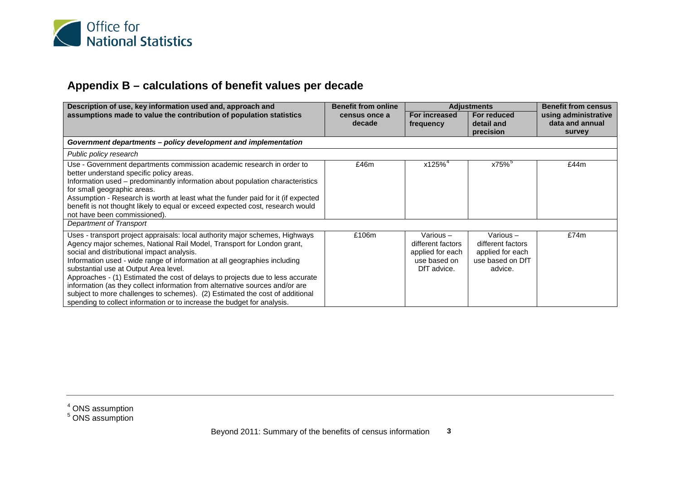<span id="page-13-1"></span><span id="page-13-0"></span>

## **Appendix B – calculations of benefit values per decade**

| Description of use, key information used and, approach and                                                                                                                                                                                                                                                                                                                                                                                                                                                                                                                                                                                              | <b>Benefit from online</b> | <b>Adjustments</b>                                                                  |                                                                                     | <b>Benefit from census</b>       |
|---------------------------------------------------------------------------------------------------------------------------------------------------------------------------------------------------------------------------------------------------------------------------------------------------------------------------------------------------------------------------------------------------------------------------------------------------------------------------------------------------------------------------------------------------------------------------------------------------------------------------------------------------------|----------------------------|-------------------------------------------------------------------------------------|-------------------------------------------------------------------------------------|----------------------------------|
| assumptions made to value the contribution of population statistics                                                                                                                                                                                                                                                                                                                                                                                                                                                                                                                                                                                     | census once a              | For increased<br>For reduced                                                        |                                                                                     | using administrative             |
|                                                                                                                                                                                                                                                                                                                                                                                                                                                                                                                                                                                                                                                         | decade                     | frequency                                                                           | detail and<br>precision                                                             | data and annual<br><b>survey</b> |
| Government departments - policy development and implementation                                                                                                                                                                                                                                                                                                                                                                                                                                                                                                                                                                                          |                            |                                                                                     |                                                                                     |                                  |
|                                                                                                                                                                                                                                                                                                                                                                                                                                                                                                                                                                                                                                                         |                            |                                                                                     |                                                                                     |                                  |
| Public policy research                                                                                                                                                                                                                                                                                                                                                                                                                                                                                                                                                                                                                                  |                            |                                                                                     |                                                                                     |                                  |
| Use - Government departments commission academic research in order to<br>better understand specific policy areas.<br>Information used – predominantly information about population characteristics<br>for small geographic areas.<br>Assumption - Research is worth at least what the funder paid for it (if expected<br>benefit is not thought likely to equal or exceed expected cost, research would<br>not have been commissioned).                                                                                                                                                                                                                 | £46m                       | x125% <sup>4</sup>                                                                  | $x75\%$                                                                             | £44m                             |
| Department of Transport                                                                                                                                                                                                                                                                                                                                                                                                                                                                                                                                                                                                                                 |                            |                                                                                     |                                                                                     |                                  |
| Uses - transport project appraisals: local authority major schemes, Highways<br>Agency major schemes, National Rail Model, Transport for London grant,<br>social and distributional impact analysis.<br>Information used - wide range of information at all geographies including<br>substantial use at Output Area level.<br>Approaches - (1) Estimated the cost of delays to projects due to less accurate<br>information (as they collect information from alternative sources and/or are<br>subject to more challenges to schemes). (2) Estimated the cost of additional<br>spending to collect information or to increase the budget for analysis. | £106m                      | Various $-$<br>different factors<br>applied for each<br>use based on<br>DfT advice. | Various $-$<br>different factors<br>applied for each<br>use based on DfT<br>advice. | £74m                             |

 $<sup>4</sup>$  ONS assumption</sup>

<sup>5</sup> ONS assumption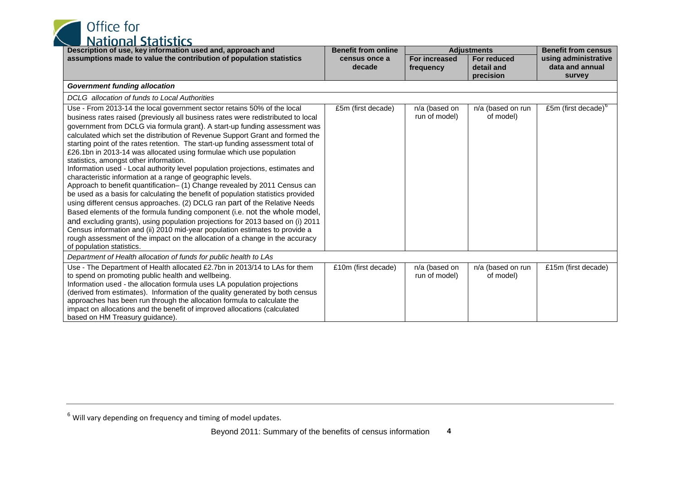<span id="page-14-0"></span>

| Description of use, key information used and, approach and                                                                                                                                                                                                                                                                                                                                                                                                                                                                                                                                                                                                                                                                                                                                                                                                                                                                                                                                                                                                                                                                                                                                                                                                                                   | <b>Benefit from online</b> | <b>Adjustments</b>                |                                        | <b>Benefit from census</b>                        |
|----------------------------------------------------------------------------------------------------------------------------------------------------------------------------------------------------------------------------------------------------------------------------------------------------------------------------------------------------------------------------------------------------------------------------------------------------------------------------------------------------------------------------------------------------------------------------------------------------------------------------------------------------------------------------------------------------------------------------------------------------------------------------------------------------------------------------------------------------------------------------------------------------------------------------------------------------------------------------------------------------------------------------------------------------------------------------------------------------------------------------------------------------------------------------------------------------------------------------------------------------------------------------------------------|----------------------------|-----------------------------------|----------------------------------------|---------------------------------------------------|
| assumptions made to value the contribution of population statistics                                                                                                                                                                                                                                                                                                                                                                                                                                                                                                                                                                                                                                                                                                                                                                                                                                                                                                                                                                                                                                                                                                                                                                                                                          | census once a<br>decade    | <b>For increased</b><br>frequency | For reduced<br>detail and<br>precision | using administrative<br>data and annual<br>survey |
| <b>Government funding allocation</b>                                                                                                                                                                                                                                                                                                                                                                                                                                                                                                                                                                                                                                                                                                                                                                                                                                                                                                                                                                                                                                                                                                                                                                                                                                                         |                            |                                   |                                        |                                                   |
| DCLG allocation of funds to Local Authorities                                                                                                                                                                                                                                                                                                                                                                                                                                                                                                                                                                                                                                                                                                                                                                                                                                                                                                                                                                                                                                                                                                                                                                                                                                                |                            |                                   |                                        |                                                   |
| Use - From 2013-14 the local government sector retains 50% of the local<br>business rates raised (previously all business rates were redistributed to local<br>government from DCLG via formula grant). A start-up funding assessment was<br>calculated which set the distribution of Revenue Support Grant and formed the<br>starting point of the rates retention. The start-up funding assessment total of<br>£26.1bn in 2013-14 was allocated using formulae which use population<br>statistics, amongst other information.<br>Information used - Local authority level population projections, estimates and<br>characteristic information at a range of geographic levels.<br>Approach to benefit quantification- (1) Change revealed by 2011 Census can<br>be used as a basis for calculating the benefit of population statistics provided<br>using different census approaches. (2) DCLG ran part of the Relative Needs<br>Based elements of the formula funding component (i.e. not the whole model,<br>and excluding grants), using population projections for 2013 based on (i) 2011<br>Census information and (ii) 2010 mid-year population estimates to provide a<br>rough assessment of the impact on the allocation of a change in the accuracy<br>of population statistics. | £5m (first decade)         | n/a (based on<br>run of model)    | n/a (based on run<br>of model)         | £5m (first decade) $^{\circ}$                     |
| Department of Health allocation of funds for public health to LAs                                                                                                                                                                                                                                                                                                                                                                                                                                                                                                                                                                                                                                                                                                                                                                                                                                                                                                                                                                                                                                                                                                                                                                                                                            |                            |                                   |                                        |                                                   |
| Use - The Department of Health allocated £2.7bn in 2013/14 to LAs for them<br>to spend on promoting public health and wellbeing.<br>Information used - the allocation formula uses LA population projections<br>(derived from estimates). Information of the quality generated by both census<br>approaches has been run through the allocation formula to calculate the<br>impact on allocations and the benefit of improved allocations (calculated<br>based on HM Treasury guidance).                                                                                                                                                                                                                                                                                                                                                                                                                                                                                                                                                                                                                                                                                                                                                                                                     | £10m (first decade)        | n/a (based on<br>run of model)    | n/a (based on run<br>of model)         | £15m (first decade)                               |

 $^6$  Will vary depending on frequency and timing of model updates.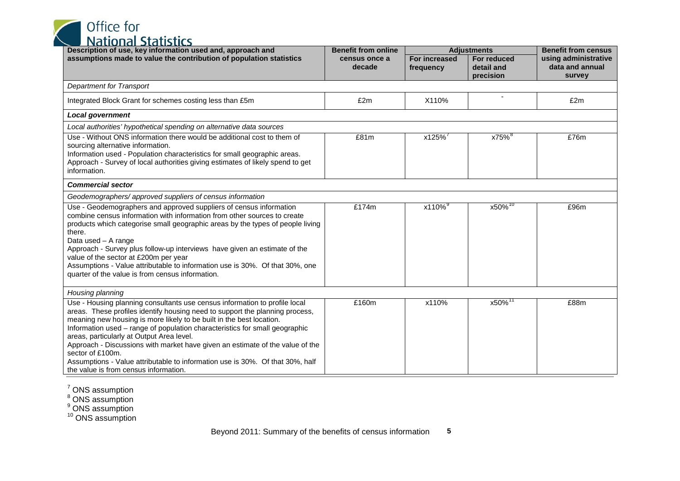<span id="page-15-3"></span><span id="page-15-2"></span><span id="page-15-1"></span><span id="page-15-0"></span>Office for<br>National Statistics

| וט נוטווטו טנט נוטנוכט<br>Description of use, key information used and, approach and                                                                                                                                                                                                                                                                                                                                                                                                                                                                                                          | <b>Benefit from online</b> | <b>Adjustments</b>                |                                        | <b>Benefit from census</b>                        |
|-----------------------------------------------------------------------------------------------------------------------------------------------------------------------------------------------------------------------------------------------------------------------------------------------------------------------------------------------------------------------------------------------------------------------------------------------------------------------------------------------------------------------------------------------------------------------------------------------|----------------------------|-----------------------------------|----------------------------------------|---------------------------------------------------|
| assumptions made to value the contribution of population statistics                                                                                                                                                                                                                                                                                                                                                                                                                                                                                                                           | census once a<br>decade    | <b>For increased</b><br>frequency | For reduced<br>detail and<br>precision | using administrative<br>data and annual<br>survey |
| <b>Department for Transport</b>                                                                                                                                                                                                                                                                                                                                                                                                                                                                                                                                                               |                            |                                   |                                        |                                                   |
| Integrated Block Grant for schemes costing less than £5m                                                                                                                                                                                                                                                                                                                                                                                                                                                                                                                                      | £2m                        | X110%                             |                                        | £2m                                               |
| <b>Local government</b>                                                                                                                                                                                                                                                                                                                                                                                                                                                                                                                                                                       |                            |                                   |                                        |                                                   |
| Local authorities' hypothetical spending on alternative data sources                                                                                                                                                                                                                                                                                                                                                                                                                                                                                                                          |                            |                                   |                                        |                                                   |
| Use - Without ONS information there would be additional cost to them of<br>sourcing alternative information.<br>Information used - Population characteristics for small geographic areas.<br>Approach - Survey of local authorities giving estimates of likely spend to get<br>information.                                                                                                                                                                                                                                                                                                   | £81m                       | x125%                             | x75% <sup>8</sup>                      | £76m                                              |
| <b>Commercial sector</b>                                                                                                                                                                                                                                                                                                                                                                                                                                                                                                                                                                      |                            |                                   |                                        |                                                   |
| Geodemographers/approved suppliers of census information                                                                                                                                                                                                                                                                                                                                                                                                                                                                                                                                      |                            |                                   |                                        |                                                   |
| Use - Geodemographers and approved suppliers of census information<br>combine census information with information from other sources to create<br>products which categorise small geographic areas by the types of people living<br>there.<br>Data used - A range<br>Approach - Survey plus follow-up interviews have given an estimate of the<br>value of the sector at £200m per year<br>Assumptions - Value attributable to information use is 30%. Of that 30%, one<br>quarter of the value is from census information.                                                                   | £174m                      | x110% <sup>9</sup>                | $x50\%$ <sup>10</sup>                  | £96m                                              |
| Housing planning                                                                                                                                                                                                                                                                                                                                                                                                                                                                                                                                                                              |                            |                                   |                                        |                                                   |
| Use - Housing planning consultants use census information to profile local<br>areas. These profiles identify housing need to support the planning process,<br>meaning new housing is more likely to be built in the best location.<br>Information used - range of population characteristics for small geographic<br>areas, particularly at Output Area level.<br>Approach - Discussions with market have given an estimate of the value of the<br>sector of £100m.<br>Assumptions - Value attributable to information use is 30%. Of that 30%, half<br>the value is from census information. | £160m                      | x110%                             | x50% <sup>11</sup>                     | £88m                                              |

 $\frac{7}{1}$  ONS assumption

<sup>8</sup> ONS assumption

<sup>9</sup> ONS assumption

<sup>10</sup> ONS assumption